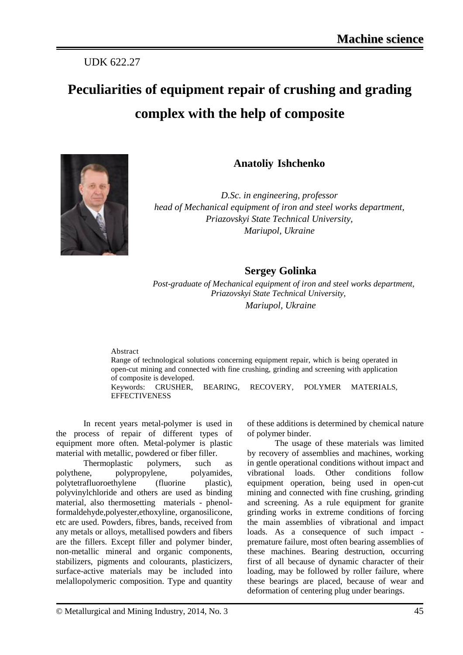## UDK 622.27

# **Peculiarities of equipment repair of crushing and grading complex with the help of composite**



**Anatoliy Ishchenko**

*D.Sc. in engineering, professor head of Mechanical equipment of iron and steel works department, Priazovskyi State Technical University, Mariupol, Ukraine*

## **Sergey Golinka**

 *Post-graduate of Mechanical equipment of iron and steel works department, Priazovskyi State Technical University, Mariupol, Ukraine*

#### Abstract

Range of technological solutions concerning equipment repair, which is being operated in open-cut mining and connected with fine crushing, grinding and screening with application of composite is developed. Keywords: CRUSHER, BEARING, RECOVERY, POLYMER MATERIALS, **EFFECTIVENESS** 

In recent years metal-polymer is used in the process of repair of different types of equipment more often. Metal-polymer is plastic material with metallic, powdered or fiber filler.

Thermoplastic polymers, such as polythene, polypropylene, polyamides, polytetrafluoroethylene (fluorine plastic), polyvinylchloride and others are used as binding material, also thermosetting materials - phenolformaldehyde,polyester,ethoxyline, organosilicone, etc are used. Powders, fibres, bands, received from any metals or alloys, metallised powders and fibers are the fillers. Except filler and polymer binder, non-metallic mineral and organic components, stabilizers, pigments and colourants, plasticizers, surface-active materials may be included into melallopolymeric composition. Type and quantity

of these additions is determined by chemical nature of polymer binder.

The usage of these materials was limited by recovery of assemblies and machines, working in gentle operational conditions without impact and vibrational loads. Other conditions follow equipment operation, being used in open-cut mining and connected with fine crushing, grinding and screening. As a rule equipment for granite grinding works in extreme conditions of forcing the main assemblies of vibrational and impact loads. As a consequence of such impact premature failure, most often bearing assemblies of these machines. Bearing destruction, occurring first of all because of dynamic character of their loading, may be followed by roller failure, where these bearings are placed, because of wear and deformation of centering plug under bearings.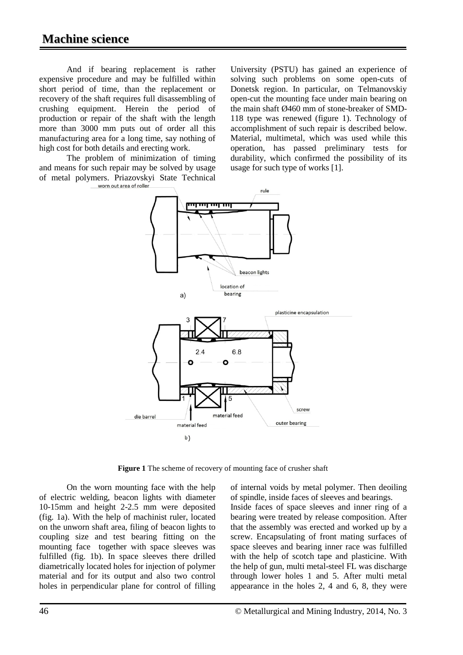And if bearing replacement is rather expensive procedure and may be fulfilled within short period of time, than the replacement or recovery of the shaft requires full disassembling of crushing equipment. Herein the period of production or repair of the shaft with the length more than 3000 mm puts out of order all this manufacturing area for a long time, say nothing of high cost for both details and erecting work.

The problem of minimization of timing and means for such repair may be solved by usage of metal polymers. Priazovskyi State Technical

University (PSTU) has gained an experience of solving such problems on some open-cuts of Donetsk region. In particular, on Telmanovskiy open-cut the mounting face under main bearing on the main shaft Ø460 mm of stone-breaker of SMD-118 type was renewed (figure 1). Technology of accomplishment of such repair is described below. Material, multimetal, which was used while this operation, has passed preliminary tests for durability, which confirmed the possibility of its usage for such type of works [1].



**Figure 1** The scheme of recovery of mounting face of crusher shaft

On the worn mounting face with the help of electric welding, beacon lights with diameter 10-15mm and height 2-2.5 mm were deposited (fig. 1a). With the help of machinist ruler, located on the unworn shaft area, filing of beacon lights to coupling size and test bearing fitting on the mounting face together with space sleeves was fulfilled (fig. 1b). In space sleeves there drilled diametrically located holes for injection of polymer material and for its output and also two control holes in perpendicular plane for control of filling

of internal voids by metal polymer. Then deoiling of spindle, inside faces of sleeves and bearings. Inside faces of space sleeves and inner ring of a bearing were treated by release composition. After that the assembly was erected and worked up by a screw. Encapsulating of front mating surfaces of space sleeves and bearing inner race was fulfilled with the help of scotch tape and plasticine. With the help of gun, multi metal-steel FL was discharge through lower holes 1 and 5. After multi metal appearance in the holes 2, 4 and 6, 8, they were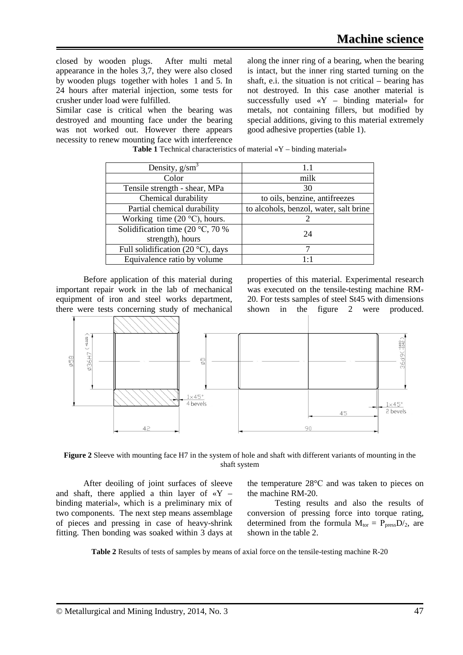closed by wooden plugs. After multi metal appearance in the holes 3,7, they were also closed by wooden plugs together with holes 1 and 5. In 24 hours after material injection, some tests for crusher under load were fulfilled.

Similar case is critical when the bearing was destroyed and mounting face under the bearing was not worked out. However there appears necessity to renew mounting face with interference along the inner ring of a bearing, when the bearing is intact, but the inner ring started turning on the shaft, e.i. the situation is not critical – bearing has not destroyed. In this case another material is successfully used «Y – binding material» for metals, not containing fillers, but modified by special additions, giving to this material extremely good adhesive properties (table 1).

| Density, $g/cm3$                                              | 1.1                                    |  |  |
|---------------------------------------------------------------|----------------------------------------|--|--|
| Color                                                         | milk                                   |  |  |
| Tensile strength - shear, MPa                                 | 30                                     |  |  |
| Chemical durability                                           | to oils, benzine, antifreezes          |  |  |
| Partial chemical durability                                   | to alcohols, benzol, water, salt brine |  |  |
| Working time $(20 °C)$ , hours.                               | 2                                      |  |  |
| Solidification time (20 $\degree$ C, 70 %<br>strength), hours | 24                                     |  |  |
| Full solidification (20 $\degree$ C), days                    |                                        |  |  |
| Equivalence ratio by volume                                   | $1 \cdot 1$                            |  |  |

**Table 1** Technical characteristics of material «Y – binding material»

Before application of this material during important repair work in the lab of mechanical equipment of iron and steel works department, there were tests concerning study of mechanical properties of this material. Experimental research was executed on the tensile-testing machine RM-20. For tests samples of steel St45 with dimensions shown in the figure 2 were produced.



**Figure 2** Sleeve with mounting face H7 in the system of hole and shaft with different variants of mounting in the shaft system

After deoiling of joint surfaces of sleeve and shaft, there applied a thin layer of  $\alpha Y$ binding material», which is a preliminary mix of two components. The next step means assemblage of pieces and pressing in case of heavy-shrink fitting. Then bonding was soaked within 3 days at the temperature 28°С and was taken to pieces on the machine RM-20.

Testing results and also the results of conversion of pressing force into torque rating, determined from the formula  $M_{tor} = P_{press}D/2$ , are shown in the table 2.

**Table 2** Results of tests of samples by means of axial force on the tensile-testing machine R-20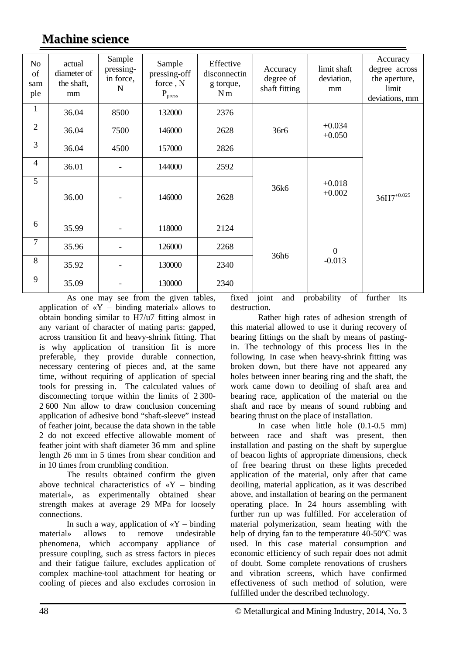| N <sub>o</sub><br>of<br>sam<br>ple | actual<br>diameter of<br>the shaft,<br>mm | Sample<br>pressing-<br>in force,<br>N | Sample<br>pressing-off<br>force, N<br>P <sub>press</sub> | Effective<br>disconnectin<br>g torque,<br>N <sub>m</sub> | Accuracy<br>degree of<br>shaft fitting | limit shaft<br>deviation,<br>mm | Accuracy<br>degree across<br>the aperture,<br>limit<br>deviations, mm |
|------------------------------------|-------------------------------------------|---------------------------------------|----------------------------------------------------------|----------------------------------------------------------|----------------------------------------|---------------------------------|-----------------------------------------------------------------------|
| $\mathbf{1}$                       | 36.04                                     | 8500                                  | 132000                                                   | 2376                                                     | 36r <sub>6</sub>                       | $+0.034$<br>$+0.050$            |                                                                       |
| $\mathfrak{2}$                     | 36.04                                     | 7500                                  | 146000                                                   | 2628                                                     |                                        |                                 |                                                                       |
| $\overline{3}$                     | 36.04                                     | 4500                                  | 157000                                                   | 2826                                                     |                                        |                                 |                                                                       |
| $\overline{4}$                     | 36.01                                     | $\overline{\phantom{0}}$              | 144000                                                   | 2592                                                     |                                        |                                 |                                                                       |
| 5                                  | 36.00                                     |                                       | 146000                                                   | 2628                                                     | 36k6                                   | $+0.018$<br>$+0.002$            | $36H7^{+0.025}$                                                       |
| 6                                  | 35.99                                     |                                       | 118000                                                   | 2124                                                     |                                        |                                 |                                                                       |
| $\overline{7}$                     | 35.96                                     |                                       | 126000                                                   | 2268                                                     | 36h6                                   | $\mathbf{0}$<br>$-0.013$        |                                                                       |
| 8                                  | 35.92                                     |                                       | 130000                                                   | 2340                                                     |                                        |                                 |                                                                       |
| 9                                  | 35.09                                     |                                       | 130000                                                   | 2340                                                     |                                        |                                 |                                                                       |

**Machine science**

As one may see from the given tables, application of  $\langle Y - \nu \rangle$  – binding material allows to obtain bonding similar to Н7/u7 fitting almost in any variant of character of mating parts: gapped, across transition fit and heavy-shrink fitting. That is why application of transition fit is more preferable, they provide durable connection, necessary centering of pieces and, at the same time, without requiring of application of special tools for pressing in. The calculated values of disconnecting torque within the limits of 2 300- 2 600 Nm allow to draw conclusion concerning application of adhesive bond "shaft-sleeve" instead of feather joint, because the data shown in the table 2 do not exceed effective allowable moment of feather joint with shaft diameter 36 mm and spline length 26 mm in 5 times from shear condition and in 10 times from crumbling condition.

The results obtained confirm the given above technical characteristics of  $\alpha Y$  – binding material», as experimentally obtained shear strength makes at average 29 MPa for loosely connections.

In such a way, application of  $\langle Y - \text{binding} \rangle$ material» allows to remove undesirable phenomena, which accompany appliance of pressure coupling, such as stress factors in pieces and their fatigue failure, excludes application of complex machine-tool attachment for heating or cooling of pieces and also excludes corrosion in fixed joint and probability of further its destruction.

Rather high rates of adhesion strength of this material allowed to use it during recovery of bearing fittings on the shaft by means of pastingin. The technology of this process lies in the following. In case when heavy-shrink fitting was broken down, but there have not appeared any holes between inner bearing ring and the shaft, the work came down to deoiling of shaft area and bearing race, application of the material on the shaft and race by means of sound rubbing and bearing thrust on the place of installation.

In case when little hole (0.1-0.5 mm) between race and shaft was present, then installation and pasting on the shaft by superglue of beacon lights of appropriate dimensions, check of free bearing thrust on these lights preceded application of the material, only after that came deoiling, material application, as it was described above, and installation of bearing on the permanent operating place. In 24 hours assembling with further run up was fulfilled. For acceleration of material polymerization, seam heating with the help of drying fan to the temperature 40-50°С was used. In this case material consumption and economic efficiency of such repair does not admit of doubt. Some complete renovations of crushers and vibration screens, which have confirmed effectiveness of such method of solution, were fulfilled under the described technology.